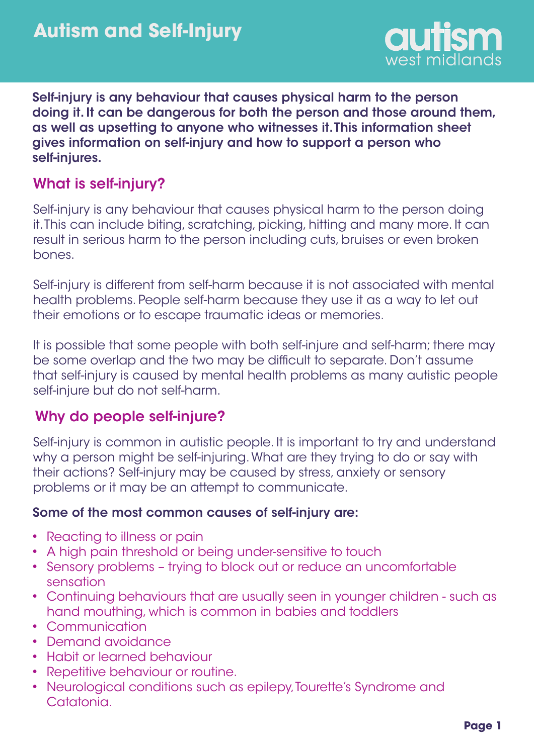

Self-injury is any behaviour that causes physical harm to the person doing it. It can be dangerous for both the person and those around them, as well as upsetting to anyone who witnesses it. This information sheet gives information on self-injury and how to support a person who self-injures.

# What is self-injury?

Self-injury is any behaviour that causes physical harm to the person doing it. This can include biting, scratching, picking, hitting and many more. It can result in serious harm to the person including cuts, bruises or even broken bones.

Self-injury is different from self-harm because it is not associated with mental health problems. People self-harm because they use it as a way to let out their emotions or to escape traumatic ideas or memories.

It is possible that some people with both self-injure and self-harm; there may be some overlap and the two may be difficult to separate. Don't assume that self-injury is caused by mental health problems as many autistic people self-injure but do not self-harm.

## Why do people self-injure?

Self-injury is common in autistic people. It is important to try and understand why a person might be self-injuring. What are they trying to do or say with their actions? Self-injury may be caused by stress, anxiety or sensory problems or it may be an attempt to communicate.

#### Some of the most common causes of self-injury are:

- Reacting to illness or pain
- A high pain threshold or being under-sensitive to touch
- Sensory problems trying to block out or reduce an uncomfortable sensation
- Continuing behaviours that are usually seen in younger children such as hand mouthing, which is common in babies and toddlers
- Communication
- Demand avoidance
- Habit or learned behaviour
- Repetitive behaviour or routine.
- Neurological conditions such as epilepy, Tourette's Syndrome and Catatonia.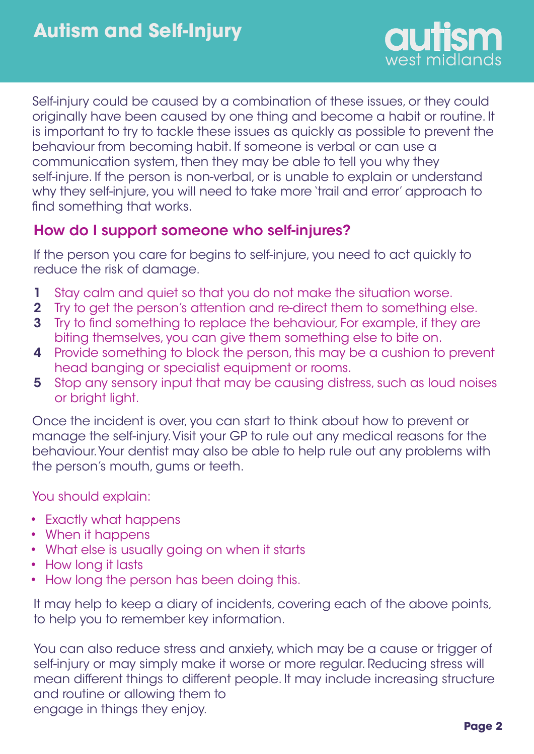

Self-injury could be caused by a combination of these issues, or they could originally have been caused by one thing and become a habit or routine. It is important to try to tackle these issues as quickly as possible to prevent the behaviour from becoming habit. If someone is verbal or can use a communication system, then they may be able to tell you why they self-injure. If the person is non-verbal, or is unable to explain or understand why they self-injure, you will need to take more 'trail and error' approach to find something that works.

# How do I support someone who self-injures?

If the person you care for begins to self-injure, you need to act quickly to reduce the risk of damage.

- 1 Stay calm and quiet so that you do not make the situation worse.
- 2 Try to get the person's attention and re-direct them to something else.
- 3 Try to find something to replace the behaviour, For example, if they are biting themselves, you can give them something else to bite on.
- 4 Provide something to block the person, this may be a cushion to prevent head banging or specialist equipment or rooms.
- 5 Stop any sensory input that may be causing distress, such as loud noises or bright light.

Once the incident is over, you can start to think about how to prevent or manage the self-injury. Visit your GP to rule out any medical reasons for the behaviour. Your dentist may also be able to help rule out any problems with the person's mouth, gums or teeth.

You should explain:

- Exactly what happens
- When it happens
- What else is usually going on when it starts
- How long it lasts
- How long the person has been doing this. •

It may help to keep a diary of incidents, covering each of the above points, to help you to remember key information.

You can also reduce stress and anxiety, which may be a cause or trigger of self-injury or may simply make it worse or more regular. Reducing stress will mean different things to different people. It may include increasing structure and routine or allowing them to engage in things they enjoy.